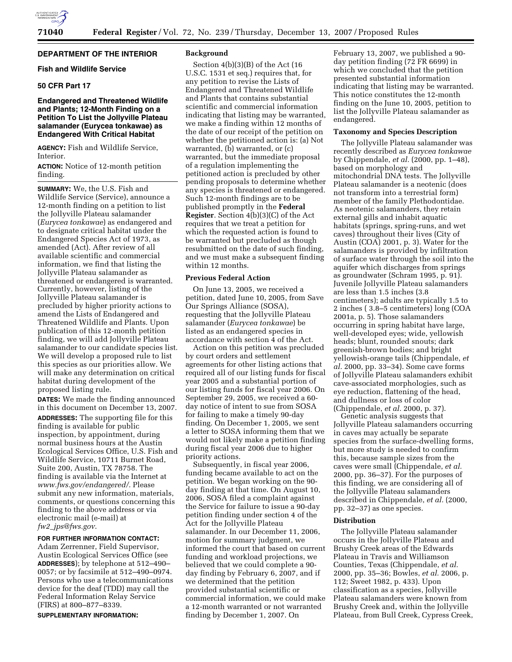

#### **DEPARTMENT OF THE INTERIOR**

# **Fish and Wildlife Service**

# **50 CFR Part 17**

# **Endangered and Threatened Wildlife and Plants; 12-Month Finding on a Petition To List the Jollyville Plateau salamander (Eurycea tonkawae) as Endangered With Critical Habitat**

**AGENCY:** Fish and Wildlife Service, Interior.

**ACTION:** Notice of 12-month petition finding.

**SUMMARY:** We, the U.S. Fish and Wildlife Service (Service), announce a 12-month finding on a petition to list the Jollyville Plateau salamander (*Eurycea tonkawae*) as endangered and to designate critical habitat under the Endangered Species Act of 1973, as amended (Act). After review of all available scientific and commercial information, we find that listing the Jollyville Plateau salamander as threatened or endangered is warranted. Currently, however, listing of the Jollyville Plateau salamander is precluded by higher priority actions to amend the Lists of Endangered and Threatened Wildlife and Plants. Upon publication of this 12-month petition finding, we will add Jollyville Plateau salamander to our candidate species list. We will develop a proposed rule to list this species as our priorities allow. We will make any determination on critical habitat during development of the proposed listing rule.

**DATES:** We made the finding announced in this document on December 13, 2007. **ADDRESSES:** The supporting file for this finding is available for public inspection, by appointment, during normal business hours at the Austin Ecological Services Office, U.S. Fish and Wildlife Service, 10711 Burnet Road, Suite 200, Austin, TX 78758. The finding is available via the Internet at *www.fws.gov/endangered/.* Please submit any new information, materials, comments, or questions concerning this finding to the above address or via electronic mail (e-mail) at *fw2*\_*jps@fws.gov*.

# **FOR FURTHER INFORMATION CONTACT:**

Adam Zerrenner, Field Supervisor, Austin Ecological Services Office (see **ADDRESSES**); by telephone at 512–490– 0057; or by facsimile at 512–490–0974. Persons who use a telecommunications device for the deaf (TDD) may call the Federal Information Relay Service (FIRS) at 800–877–8339.

**SUPPLEMENTARY INFORMATION:** 

## **Background**

Section 4(b)(3)(B) of the Act (16 U.S.C. 1531 et seq.) requires that, for any petition to revise the Lists of Endangered and Threatened Wildlife and Plants that contains substantial scientific and commercial information indicating that listing may be warranted, we make a finding within 12 months of the date of our receipt of the petition on whether the petitioned action is: (a) Not warranted, (b) warranted, or (c) warranted, but the immediate proposal of a regulation implementing the petitioned action is precluded by other pending proposals to determine whether any species is threatened or endangered. Such 12-month findings are to be published promptly in the **Federal Register**. Section 4(b)(3)(C) of the Act requires that we treat a petition for which the requested action is found to be warranted but precluded as though resubmitted on the date of such finding, and we must make a subsequent finding within 12 months.

#### **Previous Federal Action**

On June 13, 2005, we received a petition, dated June 10, 2005, from Save Our Springs Alliance (SOSA), requesting that the Jollyville Plateau salamander (*Eurycea tonkawae*) be listed as an endangered species in accordance with section 4 of the Act.

Action on this petition was precluded by court orders and settlement agreements for other listing actions that required all of our listing funds for fiscal year 2005 and a substantial portion of our listing funds for fiscal year 2006. On September 29, 2005, we received a 60 day notice of intent to sue from SOSA for failing to make a timely 90-day finding. On December 1, 2005, we sent a letter to SOSA informing them that we would not likely make a petition finding during fiscal year 2006 due to higher priority actions.

Subsequently, in fiscal year 2006, funding became available to act on the petition. We began working on the 90 day finding at that time. On August 10, 2006, SOSA filed a complaint against the Service for failure to issue a 90-day petition finding under section 4 of the Act for the Jollyville Plateau salamander. In our December 11, 2006, motion for summary judgment, we informed the court that based on current funding and workload projections, we believed that we could complete a 90 day finding by February 6, 2007, and if we determined that the petition provided substantial scientific or commercial information, we could make a 12-month warranted or not warranted finding by December 1, 2007. On

February 13, 2007, we published a 90 day petition finding (72 FR 6699) in which we concluded that the petition presented substantial information indicating that listing may be warranted. This notice constitutes the 12-month finding on the June 10, 2005, petition to list the Jollyville Plateau salamander as endangered.

#### **Taxonomy and Species Description**

The Jollyville Plateau salamander was recently described as *Eurycea tonkawae*  by Chippendale, *et al.* (2000, pp. 1–48), based on morphology and mitochondrial DNA tests. The Jollyville Plateau salamander is a neotenic (does not transform into a terrestrial form) member of the family Plethodontidae. As neotenic salamanders, they retain external gills and inhabit aquatic habitats (springs, spring-runs, and wet caves) throughout their lives (City of Austin (COA) 2001, p. 3). Water for the salamanders is provided by infiltration of surface water through the soil into the aquifer which discharges from springs as groundwater (Schram 1995, p. 91). Juvenile Jollyville Plateau salamanders are less than 1.5 inches (3.8 centimeters); adults are typically 1.5 to 2 inches ( 3.8–5 centimeters) long (COA 2001a, p. 5). Those salamanders occurring in spring habitat have large, well-developed eyes; wide, yellowish heads; blunt, rounded snouts; dark greenish-brown bodies; and bright yellowish-orange tails (Chippendale, *et al.* 2000, pp. 33–34). Some cave forms of Jollyville Plateau salamanders exhibit cave-associated morphologies, such as eye reduction, flattening of the head, and dullness or loss of color (Chippendale, *et al.* 2000, p. 37).

Genetic analysis suggests that Jollyville Plateau salamanders occurring in caves may actually be separate species from the surface-dwelling forms, but more study is needed to confirm this, because sample sizes from the caves were small (Chippendale, *et al.*  2000, pp. 36–37). For the purposes of this finding, we are considering all of the Jollyville Plateau salamanders described in Chippendale, *et al.* (2000, pp. 32–37) as one species.

#### **Distribution**

The Jollyville Plateau salamander occurs in the Jollyville Plateau and Brushy Creek areas of the Edwards Plateau in Travis and Williamson Counties, Texas (Chippendale, *et al.*  2000, pp. 35–36; Bowles, *et al.* 2006, p. 112; Sweet 1982, p. 433). Upon classification as a species, Jollyville Plateau salamanders were known from Brushy Creek and, within the Jollyville Plateau, from Bull Creek, Cypress Creek,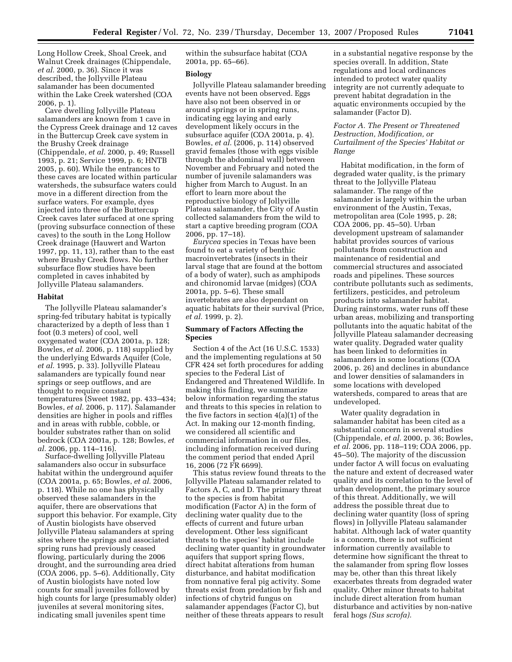Long Hollow Creek, Shoal Creek, and Walnut Creek drainages (Chippendale, *et al.* 2000, p. 36). Since it was described, the Jollyville Plateau salamander has been documented within the Lake Creek watershed (COA 2006, p. 1).

Cave dwelling Jollyville Plateau salamanders are known from 1 cave in the Cypress Creek drainage and 12 caves in the Buttercup Creek cave system in the Brushy Creek drainage (Chippendale, *et al.* 2000, p. 49; Russell 1993, p. 21; Service 1999, p. 6; HNTB 2005, p. 60). While the entrances to these caves are located within particular watersheds, the subsurface waters could move in a different direction from the surface waters. For example, dyes injected into three of the Buttercup Creek caves later surfaced at one spring (proving subsurface connection of these caves) to the south in the Long Hollow Creek drainage (Hauwert and Warton 1997, pp. 11, 13), rather than to the east where Brushy Creek flows. No further subsurface flow studies have been completed in caves inhabited by Jollyville Plateau salamanders.

#### **Habitat**

The Jollyville Plateau salamander's spring-fed tributary habitat is typically characterized by a depth of less than 1 foot (0.3 meters) of cool, well oxygenated water (COA 2001a, p. 128; Bowles, *et al.* 2006, p. 118) supplied by the underlying Edwards Aquifer (Cole, *et al.* 1995, p. 33). Jollyville Plateau salamanders are typically found near springs or seep outflows, and are thought to require constant temperatures (Sweet 1982, pp. 433–434; Bowles, *et al.* 2006, p. 117). Salamander densities are higher in pools and riffles and in areas with rubble, cobble, or boulder substrates rather than on solid bedrock (COA 2001a, p. 128; Bowles, *et al.* 2006, pp. 114–116).

Surface-dwelling Jollyville Plateau salamanders also occur in subsurface habitat within the underground aquifer (COA 2001a, p. 65; Bowles, *et al.* 2006, p. 118). While no one has physically observed these salamanders in the aquifer, there are observations that support this behavior. For example, City of Austin biologists have observed Jollyville Plateau salamanders at spring sites where the springs and associated spring runs had previously ceased flowing, particularly during the 2006 drought, and the surrounding area dried (COA 2006, pp. 5–6). Additionally, City of Austin biologists have noted low counts for small juveniles followed by high counts for large (presumably older) juveniles at several monitoring sites, indicating small juveniles spent time

within the subsurface habitat (COA 2001a, pp. 65–66).

## **Biology**

Jollyville Plateau salamander breeding events have not been observed. Eggs have also not been observed in or around springs or in spring runs, indicating egg laying and early development likely occurs in the subsurface aquifer (COA 2001a, p. 4). Bowles, *et al.* (2006, p. 114) observed gravid females (those with eggs visible through the abdominal wall) between November and February and noted the number of juvenile salamanders was higher from March to August. In an effort to learn more about the reproductive biology of Jollyville Plateau salamander, the City of Austin collected salamanders from the wild to start a captive breeding program (COA 2006, pp. 17–18).

*Eurycea* species in Texas have been found to eat a variety of benthic macroinvertebrates (insects in their larval stage that are found at the bottom of a body of water), such as amphipods and chironomid larvae (midges) (COA 2001a, pp. 5–6). These small invertebrates are also dependant on aquatic habitats for their survival (Price, *et al.* 1999, p. 2).

# **Summary of Factors Affecting the Species**

Section 4 of the Act (16 U.S.C. 1533) and the implementing regulations at 50 CFR 424 set forth procedures for adding species to the Federal List of Endangered and Threatened Wildlife. In making this finding, we summarize below information regarding the status and threats to this species in relation to the five factors in section 4(a)(1) of the Act. In making our 12-month finding, we considered all scientific and commercial information in our files, including information received during the comment period that ended April 16, 2006 (72 FR 6699).

This status review found threats to the Jollyville Plateau salamander related to Factors A, C, and D. The primary threat to the species is from habitat modification (Factor A) in the form of declining water quality due to the effects of current and future urban development. Other less significant threats to the species' habitat include declining water quantity in groundwater aquifers that support spring flows, direct habitat alterations from human disturbance, and habitat modification from nonnative feral pig activity. Some threats exist from predation by fish and infections of chytrid fungus on salamander appendages (Factor C), but neither of these threats appears to result

in a substantial negative response by the species overall. In addition, State regulations and local ordinances intended to protect water quality integrity are not currently adequate to prevent habitat degradation in the aquatic environments occupied by the salamander (Factor D).

# *Factor A. The Present or Threatened Destruction, Modification, or Curtailment of the Species' Habitat or Range*

Habitat modification, in the form of degraded water quality, is the primary threat to the Jollyville Plateau salamander. The range of the salamander is largely within the urban environment of the Austin, Texas, metropolitan area (Cole 1995, p. 28; COA 2006, pp. 45–50). Urban development upstream of salamander habitat provides sources of various pollutants from construction and maintenance of residential and commercial structures and associated roads and pipelines. These sources contribute pollutants such as sediments, fertilizers, pesticides, and petroleum products into salamander habitat. During rainstorms, water runs off these urban areas, mobilizing and transporting pollutants into the aquatic habitat of the Jollyville Plateau salamander decreasing water quality. Degraded water quality has been linked to deformities in salamanders in some locations (COA 2006, p. 26) and declines in abundance and lower densities of salamanders in some locations with developed watersheds, compared to areas that are undeveloped.

Water quality degradation in salamander habitat has been cited as a substantial concern in several studies (Chippendale, *et al.* 2000, p. 36; Bowles, *et al.* 2006, pp. 118–119; COA 2006, pp. 45–50). The majority of the discussion under factor A will focus on evaluating the nature and extent of decreased water quality and its correlation to the level of urban development, the primary source of this threat. Additionally, we will address the possible threat due to declining water quantity (loss of spring flows) in Jollyville Plateau salamander habitat. Although lack of water quantity is a concern, there is not sufficient information currently available to determine how significant the threat to the salamander from spring flow losses may be, other than this threat likely exacerbates threats from degraded water quality. Other minor threats to habitat include direct alteration from human disturbance and activities by non-native feral hogs *(Sus scrofa).*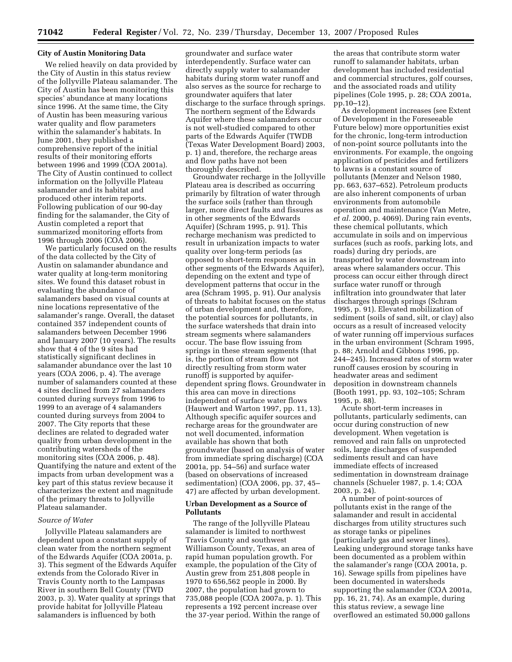#### **City of Austin Monitoring Data**

We relied heavily on data provided by the City of Austin in this status review of the Jollyville Plateau salamander. The City of Austin has been monitoring this species' abundance at many locations since 1996. At the same time, the City of Austin has been measuring various water quality and flow parameters within the salamander's habitats. In June 2001, they published a comprehensive report of the initial results of their monitoring efforts between 1996 and 1999 (COA 2001a). The City of Austin continued to collect information on the Jollyville Plateau salamander and its habitat and produced other interim reports. Following publication of our 90-day finding for the salamander, the City of Austin completed a report that summarized monitoring efforts from 1996 through 2006 (COA 2006).

We particularly focused on the results of the data collected by the City of Austin on salamander abundance and water quality at long-term monitoring sites. We found this dataset robust in evaluating the abundance of salamanders based on visual counts at nine locations representative of the salamander's range. Overall, the dataset contained 357 independent counts of salamanders between December 1996 and January 2007 (10 years). The results show that 4 of the 9 sites had statistically significant declines in salamander abundance over the last 10 years (COA 2006, p. 4). The average number of salamanders counted at these 4 sites declined from 27 salamanders counted during surveys from 1996 to 1999 to an average of 4 salamanders counted during surveys from 2004 to 2007. The City reports that these declines are related to degraded water quality from urban development in the contributing watersheds of the monitoring sites (COA 2006, p. 48). Quantifying the nature and extent of the impacts from urban development was a key part of this status review because it characterizes the extent and magnitude of the primary threats to Jollyville Plateau salamander.

#### *Source of Water*

Jollyville Plateau salamanders are dependent upon a constant supply of clean water from the northern segment of the Edwards Aquifer (COA 2001a, p. 3). This segment of the Edwards Aquifer extends from the Colorado River in Travis County north to the Lampasas River in southern Bell County (TWD 2003, p. 3). Water quality at springs that provide habitat for Jollyville Plateau salamanders is influenced by both

groundwater and surface water interdependently. Surface water can directly supply water to salamander habitats during storm water runoff and also serves as the source for recharge to groundwater aquifers that later discharge to the surface through springs. The northern segment of the Edwards Aquifer where these salamanders occur is not well-studied compared to other parts of the Edwards Aquifer (TWDB (Texas Water Development Board) 2003, p. 1) and, therefore, the recharge areas and flow paths have not been thoroughly described.

Groundwater recharge in the Jollyville Plateau area is described as occurring primarily by filtration of water through the surface soils (rather than through larger, more direct faults and fissures as in other segments of the Edwards Aquifer) (Schram 1995, p. 91). This recharge mechanism was predicted to result in urbanization impacts to water quality over long-term periods (as opposed to short-term responses as in other segments of the Edwards Aquifer), depending on the extent and type of development patterns that occur in the area (Schram 1995, p. 91). Our analysis of threats to habitat focuses on the status of urban development and, therefore, the potential sources for pollutants, in the surface watersheds that drain into stream segments where salamanders occur. The base flow issuing from springs in these stream segments (that is, the portion of stream flow not directly resulting from storm water runoff) is supported by aquiferdependent spring flows. Groundwater in this area can move in directions independent of surface water flows (Hauwert and Warton 1997, pp. 11, 13). Although specific aquifer sources and recharge areas for the groundwater are not well documented, information available has shown that both groundwater (based on analysis of water from immediate spring discharge) (COA 2001a, pp. 54–56) and surface water (based on observations of increased sedimentation) (COA 2006, pp. 37, 45– 47) are affected by urban development.

#### **Urban Development as a Source of Pollutants**

The range of the Jollyville Plateau salamander is limited to northwest Travis County and southwest Williamson County, Texas, an area of rapid human population growth. For example, the population of the City of Austin grew from 251,808 people in 1970 to 656,562 people in 2000. By 2007, the population had grown to 735,088 people (COA 2007a, p. 1). This represents a 192 percent increase over the 37-year period. Within the range of

the areas that contribute storm water runoff to salamander habitats, urban development has included residential and commercial structures, golf courses, and the associated roads and utility pipelines (Cole 1995, p. 28; COA 2001a, pp.10–12).

As development increases (see Extent of Development in the Foreseeable Future below) more opportunities exist for the chronic, long-term introduction of non-point source pollutants into the environments. For example, the ongoing application of pesticides and fertilizers to lawns is a constant source of pollutants (Menzer and Nelson 1980, pp. 663, 637–652). Petroleum products are also inherent components of urban environments from automobile operation and maintenance (Van Metre, *et al.* 2000, p. 4069). During rain events, these chemical pollutants, which accumulate in soils and on impervious surfaces (such as roofs, parking lots, and roads) during dry periods, are transported by water downstream into areas where salamanders occur. This process can occur either through direct surface water runoff or through infiltration into groundwater that later discharges through springs (Schram 1995, p. 91). Elevated mobilization of sediment (soils of sand, silt, or clay) also occurs as a result of increased velocity of water running off impervious surfaces in the urban environment (Schram 1995, p. 88; Arnold and Gibbons 1996, pp. 244–245). Increased rates of storm water runoff causes erosion by scouring in headwater areas and sediment deposition in downstream channels (Booth 1991, pp. 93, 102–105; Schram 1995, p. 88).

Acute short-term increases in pollutants, particularly sediments, can occur during construction of new development. When vegetation is removed and rain falls on unprotected soils, large discharges of suspended sediments result and can have immediate effects of increased sedimentation in downstream drainage channels (Schueler 1987, p. 1.4; COA 2003, p. 24).

A number of point-sources of pollutants exist in the range of the salamander and result in accidental discharges from utility structures such as storage tanks or pipelines (particularly gas and sewer lines). Leaking underground storage tanks have been documented as a problem within the salamander's range (COA 2001a, p. 16). Sewage spills from pipelines have been documented in watersheds supporting the salamander (COA 2001a, pp. 16, 21, 74). As an example, during this status review, a sewage line overflowed an estimated 50,000 gallons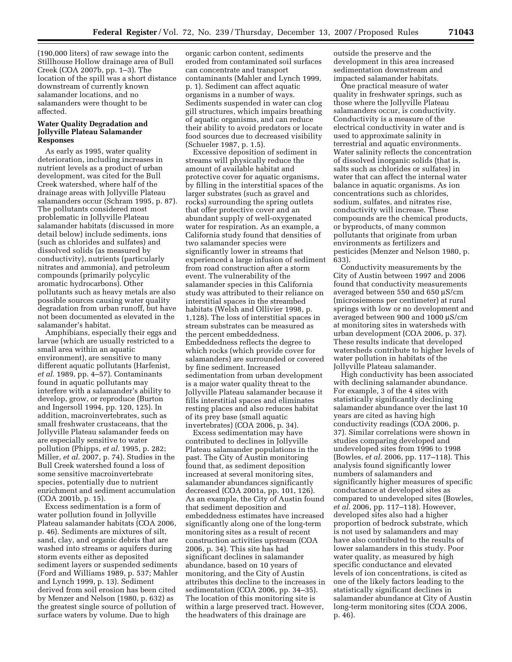(190,000 liters) of raw sewage into the Stillhouse Hollow drainage area of Bull Creek (COA 2007b, pp. 1–3). The location of the spill was a short distance downstream of currently known salamander locations, and no salamanders were thought to be affected.

## **Water Quality Degradation and Jollyville Plateau Salamander Responses**

As early as 1995, water quality deterioration, including increases in nutrient levels as a product of urban development, was cited for the Bull Creek watershed, where half of the drainage areas with Jollyville Plateau salamanders occur (Schram 1995, p. 87). The pollutants considered most problematic in Jollyville Plateau salamander habitats (discussed in more detail below) include sediments, ions (such as chlorides and sulfates) and dissolved solids (as measured by conductivity), nutrients (particularly nitrates and ammonia), and petroleum compounds (primarily polycylic aromatic hydrocarbons). Other pollutants such as heavy metals are also possible sources causing water quality degradation from urban runoff, but have not been documented as elevated in the salamander's habitat.

Amphibians, especially their eggs and larvae (which are usually restricted to a small area within an aquatic environment), are sensitive to many different aquatic pollutants (Harfenist, *et al.* 1989, pp. 4–57). Contaminants found in aquatic pollutants may interfere with a salamander's ability to develop, grow, or reproduce (Burton and Ingersoll 1994, pp. 120, 125). In addition, macroinvertebrates, such as small freshwater crustaceans, that the Jollyville Plateau salamander feeds on are especially sensitive to water pollution (Phipps, *et al.* 1995, p. 282; Miller, *et al.* 2007, p. 74). Studies in the Bull Creek watershed found a loss of some sensitive macroinvertebrate species, potentially due to nutrient enrichment and sediment accumulation (COA 2001b, p. 15).

Excess sedimentation is a form of water pollution found in Jollyville Plateau salamander habitats (COA 2006, p. 46). Sediments are mixtures of silt, sand, clay, and organic debris that are washed into streams or aquifers during storm events either as deposited sediment layers or suspended sediments (Ford and Williams 1989, p. 537; Mahler and Lynch 1999, p. 13). Sediment derived from soil erosion has been cited by Menzer and Nelson (1980, p. 632) as the greatest single source of pollution of surface waters by volume. Due to high

organic carbon content, sediments eroded from contaminated soil surfaces can concentrate and transport contaminants (Mahler and Lynch 1999, p. 1). Sediment can affect aquatic organisms in a number of ways. Sediments suspended in water can clog gill structures, which impairs breathing of aquatic organisms, and can reduce their ability to avoid predators or locate food sources due to decreased visibility (Schueler 1987, p. 1.5).

Excessive deposition of sediment in streams will physically reduce the amount of available habitat and protective cover for aquatic organisms, by filling in the interstitial spaces of the larger substrates (such as gravel and rocks) surrounding the spring outlets that offer protective cover and an abundant supply of well-oxygenated water for respiration. As an example, a California study found that densities of two salamander species were significantly lower in streams that experienced a large infusion of sediment from road construction after a storm event. The vulnerability of the salamander species in this California study was attributed to their reliance on interstitial spaces in the streambed habitats (Welsh and Ollivier 1998, p. 1,128). The loss of interstitial spaces in stream substrates can be measured as the percent embeddedness. Embeddedness reflects the degree to which rocks (which provide cover for salamanders) are surrounded or covered by fine sediment. Increased sedimentation from urban development is a major water quality threat to the Jollyville Plateau salamander because it fills interstitial spaces and eliminates resting places and also reduces habitat of its prey base (small aquatic invertebrates) (COA 2006, p. 34).

Excess sedimentation may have contributed to declines in Jollyville Plateau salamander populations in the past. The City of Austin monitoring found that, as sediment deposition increased at several monitoring sites, salamander abundances significantly decreased (COA 2001a, pp. 101, 126). As an example, the City of Austin found that sediment deposition and embeddedness estimates have increased significantly along one of the long-term monitoring sites as a result of recent construction activities upstream (COA 2006, p. 34). This site has had significant declines in salamander abundance, based on 10 years of monitoring, and the City of Austin attributes this decline to the increases in sedimentation (COA 2006, pp. 34–35). The location of this monitoring site is within a large preserved tract. However, the headwaters of this drainage are

outside the preserve and the development in this area increased sedimentation downstream and impacted salamander habitats.

One practical measure of water quality in freshwater springs, such as those where the Jollyville Plateau salamanders occur, is conductivity. Conductivity is a measure of the electrical conductivity in water and is used to approximate salinity in terrestrial and aquatic environments. Water salinity reflects the concentration of dissolved inorganic solids (that is, salts such as chlorides or sulfates) in water that can affect the internal water balance in aquatic organisms. As ion concentrations such as chlorides, sodium, sulfates, and nitrates rise, conductivity will increase. These compounds are the chemical products, or byproducts, of many common pollutants that originate from urban environments as fertilizers and pesticides (Menzer and Nelson 1980, p. 633).

Conductivity measurements by the City of Austin between 1997 and 2006 found that conductivity measurements averaged between 550 and 650 µS/cm (microsiemens per centimeter) at rural springs with low or no development and averaged between 900 and 1000 µS/cm at monitoring sites in watersheds with urban development (COA 2006, p. 37). These results indicate that developed watersheds contribute to higher levels of water pollution in habitats of the Jollyville Plateau salamander.

High conductivity has been associated with declining salamander abundance. For example, 3 of the 4 sites with statistically significantly declining salamander abundance over the last 10 years are cited as having high conductivity readings (COA 2006, p. 37). Similar correlations were shown in studies comparing developed and undeveloped sites from 1996 to 1998 (Bowles, *et al.* 2006, pp. 117–118). This analysis found significantly lower numbers of salamanders and significantly higher measures of specific conductance at developed sites as compared to undeveloped sites (Bowles, *et al.* 2006, pp. 117–118). However, developed sites also had a higher proportion of bedrock substrate, which is not used by salamanders and may have also contributed to the results of lower salamanders in this study. Poor water quality, as measured by high specific conductance and elevated levels of ion concentrations, is cited as one of the likely factors leading to the statistically significant declines in salamander abundance at City of Austin long-term monitoring sites (COA 2006, p. 46).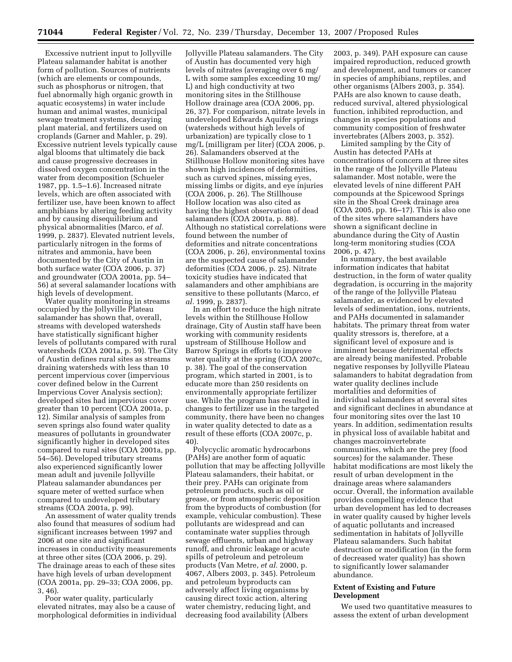Excessive nutrient input to Jollyville Plateau salamander habitat is another form of pollution. Sources of nutrients (which are elements or compounds, such as phosphorus or nitrogen, that fuel abnormally high organic growth in aquatic ecosystems) in water include human and animal wastes, municipal sewage treatment systems, decaying plant material, and fertilizers used on croplands (Garner and Mahler, p. 29). Excessive nutrient levels typically cause algal blooms that ultimately die back and cause progressive decreases in dissolved oxygen concentration in the water from decomposition (Schueler 1987, pp. 1.5–1.6). Increased nitrate levels, which are often associated with fertilizer use, have been known to affect amphibians by altering feeding activity and by causing disequilibrium and physical abnormalities (Marco, *et al.*  1999, p. 2837). Elevated nutrient levels, particularly nitrogen in the forms of nitrates and ammonia, have been documented by the City of Austin in both surface water (COA 2006, p. 37) and groundwater (COA 2001a, pp. 54– 56) at several salamander locations with high levels of development.

Water quality monitoring in streams occupied by the Jollyville Plateau salamander has shown that, overall, streams with developed watersheds have statistically significant higher levels of pollutants compared with rural watersheds (COA 2001a, p. 59). The City of Austin defines rural sites as streams draining watersheds with less than 10 percent impervious cover (impervious cover defined below in the Current Impervious Cover Analysis section); developed sites had impervious cover greater than 10 percent (COA 2001a, p. 12). Similar analysis of samples from seven springs also found water quality measures of pollutants in groundwater significantly higher in developed sites compared to rural sites (COA 2001a, pp. 54–56). Developed tributary streams also experienced significantly lower mean adult and juvenile Jollyville Plateau salamander abundances per square meter of wetted surface when compared to undeveloped tributary streams (COA 2001a, p. 99).

An assessment of water quality trends also found that measures of sodium had significant increases between 1997 and 2006 at one site and significant increases in conductivity measurements at three other sites (COA 2006, p. 29). The drainage areas to each of these sites have high levels of urban development (COA 2001a, pp. 29–33; COA 2006, pp. 3, 46).

Poor water quality, particularly elevated nitrates, may also be a cause of morphological deformities in individual

Jollyville Plateau salamanders. The City of Austin has documented very high levels of nitrates (averaging over 6 mg/ L with some samples exceeding 10 mg/ L) and high conductivity at two monitoring sites in the Stillhouse Hollow drainage area (COA 2006, pp. 26, 37). For comparison, nitrate levels in undeveloped Edwards Aquifer springs (watersheds without high levels of urbanization) are typically close to 1 mg/L (milligram per liter) (COA 2006, p. 26). Salamanders observed at the Stillhouse Hollow monitoring sites have shown high incidences of deformities, such as curved spines, missing eyes, missing limbs or digits, and eye injuries (COA 2006, p. 26). The Stillhouse Hollow location was also cited as having the highest observation of dead salamanders (COA 2001a, p. 88). Although no statistical correlations were found between the number of deformities and nitrate concentrations (COA 2006, p. 26), environmental toxins are the suspected cause of salamander deformities (COA 2006, p. 25). Nitrate toxicity studies have indicated that salamanders and other amphibians are sensitive to these pollutants (Marco, *et al.* 1999, p. 2837).

In an effort to reduce the high nitrate levels within the Stillhouse Hollow drainage, City of Austin staff have been working with community residents upstream of Stillhouse Hollow and Barrow Springs in efforts to improve water quality at the spring (COA 2007c, p. 38). The goal of the conservation program, which started in 2001, is to educate more than 250 residents on environmentally appropriate fertilizer use. While the program has resulted in changes to fertilizer use in the targeted community, there have been no changes in water quality detected to date as a result of these efforts (COA 2007c, p. 40).

Polycyclic aromatic hydrocarbons (PAHs) are another form of aquatic pollution that may be affecting Jollyville Plateau salamanders, their habitat, or their prey. PAHs can originate from petroleum products, such as oil or grease, or from atmospheric deposition from the byproducts of combustion (for example, vehicular combustion). These pollutants are widespread and can contaminate water supplies through sewage effluents, urban and highway runoff, and chronic leakage or acute spills of petroleum and petroleum products (Van Metre, *et al.* 2000, p. 4067, Albers 2003, p. 345). Petroleum and petroleum byproducts can adversely affect living organisms by causing direct toxic action, altering water chemistry, reducing light, and decreasing food availability (Albers

2003, p. 349). PAH exposure can cause impaired reproduction, reduced growth and development, and tumors or cancer in species of amphibians, reptiles, and other organisms (Albers 2003, p. 354). PAHs are also known to cause death, reduced survival, altered physiological function, inhibited reproduction, and changes in species populations and community composition of freshwater invertebrates (Albers 2003, p. 352).

Limited sampling by the City of Austin has detected PAHs at concentrations of concern at three sites in the range of the Jollyville Plateau salamander. Most notable, were the elevated levels of nine different PAH compounds at the Spicewood Springs site in the Shoal Creek drainage area (COA 2005, pp. 16–17). This is also one of the sites where salamanders have shown a significant decline in abundance during the City of Austin long-term monitoring studies (COA 2006, p. 47).

In summary, the best available information indicates that habitat destruction, in the form of water quality degradation, is occurring in the majority of the range of the Jollyville Plateau salamander, as evidenced by elevated levels of sedimentation, ions, nutrients, and PAHs documented in salamander habitats. The primary threat from water quality stressors is, therefore, at a significant level of exposure and is imminent because detrimental effects are already being manifested. Probable negative responses by Jollyville Plateau salamanders to habitat degradation from water quality declines include mortalities and deformities of individual salamanders at several sites and significant declines in abundance at four monitoring sites over the last 10 years. In addition, sedimentation results in physical loss of available habitat and changes macroinvertebrate communities, which are the prey (food sources) for the salamander. These habitat modifications are most likely the result of urban development in the drainage areas where salamanders occur. Overall, the information available provides compelling evidence that urban development has led to decreases in water quality caused by higher levels of aquatic pollutants and increased sedimentation in habitats of Jollyville Plateau salamanders. Such habitat destruction or modification (in the form of decreased water quality) has shown to significantly lower salamander abundance.

### **Extent of Existing and Future Development**

We used two quantitative measures to assess the extent of urban development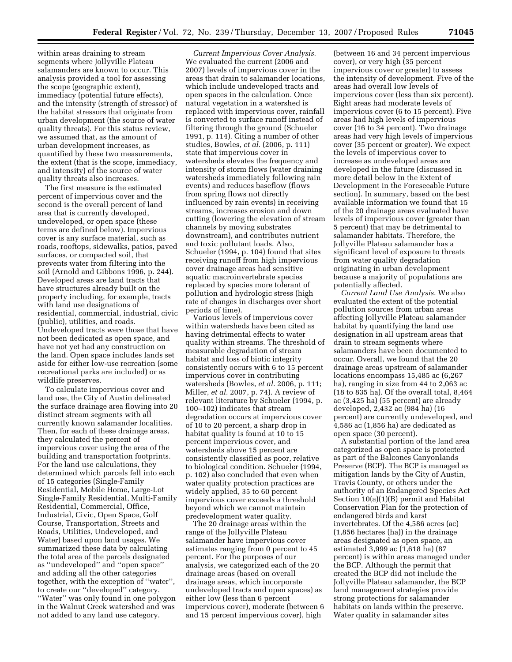within areas draining to stream segments where Jollyville Plateau salamanders are known to occur. This analysis provided a tool for assessing the scope (geographic extent), immediacy (potential future effects), and the intensity (strength of stressor) of the habitat stressors that originate from urban development (the source of water quality threats). For this status review, we assumed that, as the amount of urban development increases, as quantified by these two measurements, the extent (that is the scope, immediacy, and intensity) of the source of water quality threats also increases.

The first measure is the estimated percent of impervious cover and the second is the overall percent of land area that is currently developed, undeveloped, or open space (these terms are defined below). Impervious cover is any surface material, such as roads, rooftops, sidewalks, patios, paved surfaces, or compacted soil, that prevents water from filtering into the soil (Arnold and Gibbons 1996, p. 244). Developed areas are land tracts that have structures already built on the property including, for example, tracts with land use designations of residential, commercial, industrial, civic (public), utilities, and roads. Undeveloped tracts were those that have not been dedicated as open space, and have not yet had any construction on the land. Open space includes lands set aside for either low-use recreation (some recreational parks are included) or as wildlife preserves.

To calculate impervious cover and land use, the City of Austin delineated the surface drainage area flowing into 20 distinct stream segments with all currently known salamander localities. Then, for each of these drainage areas, they calculated the percent of impervious cover using the area of the building and transportation footprints. For the land use calculations, they determined which parcels fell into each of 15 categories (Single-Family Residential, Mobile Home, Large-Lot Single-Family Residential, Multi-Family Residential, Commercial, Office, Industrial, Civic, Open Space, Golf Course, Transportation, Streets and Roads, Utilities, Undeveloped, and Water) based upon land usages. We summarized these data by calculating the total area of the parcels designated as ''undeveloped'' and ''open space'' and adding all the other categories together, with the exception of ''water'', to create our ''developed'' category. ''Water'' was only found in one polygon in the Walnut Creek watershed and was not added to any land use category.

*Current Impervious Cover Analysis*. We evaluated the current (2006 and 2007) levels of impervious cover in the areas that drain to salamander locations, which include undeveloped tracts and open spaces in the calculation. Once natural vegetation in a watershed is replaced with impervious cover, rainfall is converted to surface runoff instead of filtering through the ground (Schueler 1991, p. 114). Citing a number of other studies, Bowles, *et al.* (2006, p. 111) state that impervious cover in watersheds elevates the frequency and intensity of storm flows (water draining watersheds immediately following rain events) and reduces baseflow (flows from spring flows not directly influenced by rain events) in receiving streams, increases erosion and down cutting (lowering the elevation of stream channels by moving substrates downstream), and contributes nutrient and toxic pollutant loads. Also, Schueler (1994, p. 104) found that sites receiving runoff from high impervious cover drainage areas had sensitive aquatic macroinvertebrate species replaced by species more tolerant of pollution and hydrologic stress (high rate of changes in discharges over short periods of time).

Various levels of impervious cover within watersheds have been cited as having detrimental effects to water quality within streams. The threshold of measurable degradation of stream habitat and loss of biotic integrity consistently occurs with 6 to 15 percent impervious cover in contributing watersheds (Bowles, *et al.* 2006, p. 111; Miller, *et al.* 2007, p. 74). A review of relevant literature by Schueler (1994, p. 100–102) indicates that stream degradation occurs at impervious cover of 10 to 20 percent, a sharp drop in habitat quality is found at 10 to 15 percent impervious cover, and watersheds above 15 percent are consistently classified as poor, relative to biological condition. Schueler (1994, p. 102) also concluded that even when water quality protection practices are widely applied, 35 to 60 percent impervious cover exceeds a threshold beyond which we cannot maintain predevelopment water quality.

The 20 drainage areas within the range of the Jollyville Plateau salamander have impervious cover estimates ranging from 0 percent to 45 percent. For the purposes of our analysis, we categorized each of the 20 drainage areas (based on overall drainage areas, which incorporate undeveloped tracts and open spaces) as either low (less than 6 percent impervious cover), moderate (between 6 and 15 percent impervious cover), high

(between 16 and 34 percent impervious cover), or very high (35 percent impervious cover or greater) to assess the intensity of development. Five of the areas had overall low levels of impervious cover (less than six percent). Eight areas had moderate levels of impervious cover (6 to 15 percent). Five areas had high levels of impervious cover (16 to 34 percent). Two drainage areas had very high levels of impervious cover (35 percent or greater). We expect the levels of impervious cover to increase as undeveloped areas are developed in the future (discussed in more detail below in the Extent of Development in the Foreseeable Future section). In summary, based on the best available information we found that 15 of the 20 drainage areas evaluated have levels of impervious cover (greater than 5 percent) that may be detrimental to salamander habitats. Therefore, the Jollyville Plateau salamander has a significant level of exposure to threats from water quality degradation originating in urban development because a majority of populations are potentially affected.

*Current Land Use Analysis*. We also evaluated the extent of the potential pollution sources from urban areas affecting Jollyville Plateau salamander habitat by quantifying the land use designation in all upstream areas that drain to stream segments where salamanders have been documented to occur. Overall, we found that the 20 drainage areas upstream of salamander locations encompass 15,485 ac (6,267 ha), ranging in size from 44 to 2,063 ac (18 to 835 ha). Of the overall total, 8,464 ac (3,425 ha) (55 percent) are already developed, 2,432 ac (984 ha) (16 percent) are currently undeveloped, and 4,586 ac (1,856 ha) are dedicated as open space (30 percent).

A substantial portion of the land area categorized as open space is protected as part of the Balcones Canyonlands Preserve (BCP). The BCP is managed as mitigation lands by the City of Austin, Travis County, or others under the authority of an Endangered Species Act Section 10(a)(1)(B) permit and Habitat Conservation Plan for the protection of endangered birds and karst invertebrates. Of the 4,586 acres (ac) (1,856 hectares (ha)) in the drainage areas designated as open space, an estimated 3,999 ac (1,618 ha) (87 percent) is within areas managed under the BCP. Although the permit that created the BCP did not include the Jollyville Plateau salamander, the BCP land management strategies provide strong protections for salamander habitats on lands within the preserve. Water quality in salamander sites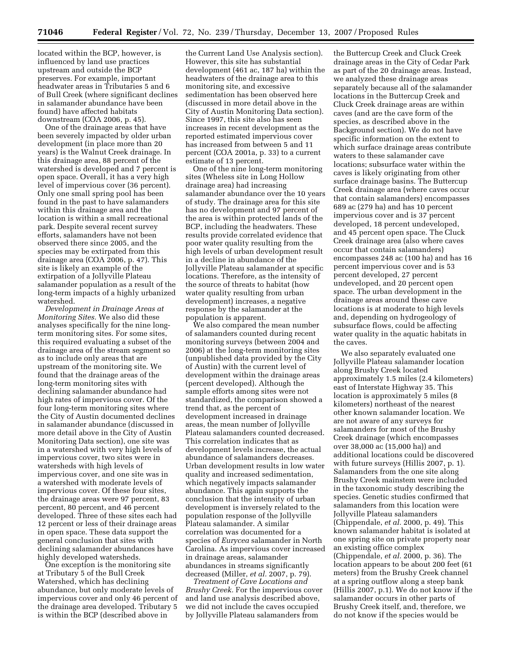located within the BCP, however, is influenced by land use practices upstream and outside the BCP preserves. For example, important headwater areas in Tributaries 5 and 6 of Bull Creek (where significant declines in salamander abundance have been found) have affected habitats downstream (COA 2006, p. 45).

One of the drainage areas that have been severely impacted by older urban development (in place more than 20 years) is the Walnut Creek drainage. In this drainage area, 88 percent of the watershed is developed and 7 percent is open space. Overall, it has a very high level of impervious cover (36 percent). Only one small spring pool has been found in the past to have salamanders within this drainage area and the location is within a small recreational park. Despite several recent survey efforts, salamanders have not been observed there since 2005, and the species may be extirpated from this drainage area (COA 2006, p. 47). This site is likely an example of the extirpation of a Jollyville Plateau salamander population as a result of the long-term impacts of a highly urbanized watershed.

*Development in Drainage Areas at Monitoring Sites.* We also did these analyses specifically for the nine longterm monitoring sites. For some sites, this required evaluating a subset of the drainage area of the stream segment so as to include only areas that are upstream of the monitoring site. We found that the drainage areas of the long-term monitoring sites with declining salamander abundance had high rates of impervious cover. Of the four long-term monitoring sites where the City of Austin documented declines in salamander abundance (discussed in more detail above in the City of Austin Monitoring Data section), one site was in a watershed with very high levels of impervious cover, two sites were in watersheds with high levels of impervious cover, and one site was in a watershed with moderate levels of impervious cover. Of these four sites, the drainage areas were 97 percent, 83 percent, 80 percent, and 46 percent developed. Three of these sites each had 12 percent or less of their drainage areas in open space. These data support the general conclusion that sites with declining salamander abundances have highly developed watersheds.

One exception is the monitoring site at Tributary 5 of the Bull Creek Watershed, which has declining abundance, but only moderate levels of impervious cover and only 46 percent of the drainage area developed. Tributary 5 is within the BCP (described above in

the Current Land Use Analysis section). However, this site has substantial development (461 ac, 187 ha) within the headwaters of the drainage area to this monitoring site, and excessive sedimentation has been observed here (discussed in more detail above in the City of Austin Monitoring Data section). Since 1997, this site also has seen increases in recent development as the reported estimated impervious cover has increased from between 5 and 11 percent (COA 2001a, p. 33) to a current estimate of 13 percent.

One of the nine long-term monitoring sites (Wheless site in Long Hollow drainage area) had increasing salamander abundance over the 10 years of study. The drainage area for this site has no development and 97 percent of the area is within protected lands of the BCP, including the headwaters. These results provide correlated evidence that poor water quality resulting from the high levels of urban development result in a decline in abundance of the Jollyville Plateau salamander at specific locations. Therefore, as the intensity of the source of threats to habitat (how water quality resulting from urban development) increases, a negative response by the salamander at the population is apparent.

We also compared the mean number of salamanders counted during recent monitoring surveys (between 2004 and 2006) at the long-term monitoring sites (unpublished data provided by the City of Austin) with the current level of development within the drainage areas (percent developed). Although the sample efforts among sites were not standardized, the comparison showed a trend that, as the percent of development increased in drainage areas, the mean number of Jollyville Plateau salamanders counted decreased. This correlation indicates that as development levels increase, the actual abundance of salamanders decreases. Urban development results in low water quality and increased sedimentation, which negatively impacts salamander abundance. This again supports the conclusion that the intensity of urban development is inversely related to the population response of the Jollyville Plateau salamander. A similar correlation was documented for a species of *Eurycea* salamander in North Carolina. As impervious cover increased in drainage areas, salamander abundances in streams significantly decreased (Miller, *et al.* 2007, p. 79).

*Treatment of Cave Locations and Brushy Creek.* For the impervious cover and land use analysis described above, we did not include the caves occupied by Jollyville Plateau salamanders from

the Buttercup Creek and Cluck Creek drainage areas in the City of Cedar Park as part of the 20 drainage areas. Instead, we analyzed these drainage areas separately because all of the salamander locations in the Buttercup Creek and Cluck Creek drainage areas are within caves (and are the cave form of the species, as described above in the Background section). We do not have specific information on the extent to which surface drainage areas contribute waters to these salamander cave locations; subsurface water within the caves is likely originating from other surface drainage basins. The Buttercup Creek drainage area (where caves occur that contain salamanders) encompasses 689 ac (279 ha) and has 10 percent impervious cover and is 37 percent developed, 18 percent undeveloped, and 45 percent open space. The Cluck Creek drainage area (also where caves occur that contain salamanders) encompasses 248 ac (100 ha) and has 16 percent impervious cover and is 53 percent developed, 27 percent undeveloped, and 20 percent open space. The urban development in the drainage areas around these cave locations is at moderate to high levels and, depending on hydrogeology of subsurface flows, could be affecting water quality in the aquatic habitats in the caves.

We also separately evaluated one Jollyville Plateau salamander location along Brushy Creek located approximately 1.5 miles (2.4 kilometers) east of Interstate Highway 35. This location is approximately 5 miles (8 kilometers) northeast of the nearest other known salamander location. We are not aware of any surveys for salamanders for most of the Brushy Creek drainage (which encompasses over 38,000 ac (15,000 ha)) and additional locations could be discovered with future surveys (Hillis 2007, p. 1). Salamanders from the one site along Brushy Creek mainstem were included in the taxonomic study describing the species. Genetic studies confirmed that salamanders from this location were Jollyville Plateau salamanders (Chippendale, *et al.* 2000, p. 49). This known salamander habitat is isolated at one spring site on private property near an existing office complex (Chippendale, *et al.* 2000, p. 36). The location appears to be about 200 feet (61 meters) from the Brushy Creek channel at a spring outflow along a steep bank (Hillis 2007, p.1). We do not know if the salamander occurs in other parts of Brushy Creek itself, and, therefore, we do not know if the species would be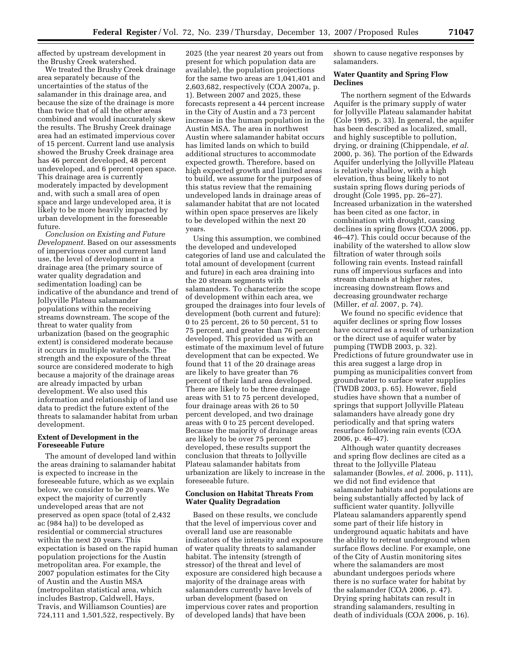affected by upstream development in the Brushy Creek watershed.

We treated the Brushy Creek drainage area separately because of the uncertainties of the status of the salamander in this drainage area, and because the size of the drainage is more than twice that of all the other areas combined and would inaccurately skew the results. The Brushy Creek drainage area had an estimated impervious cover of 15 percent. Current land use analysis showed the Brushy Creek drainage area has 46 percent developed, 48 percent undeveloped, and 6 percent open space. This drainage area is currently moderately impacted by development and, with such a small area of open space and large undeveloped area, it is likely to be more heavily impacted by urban development in the foreseeable future.

*Conclusion on Existing and Future Development.* Based on our assessments of impervious cover and current land use, the level of development in a drainage area (the primary source of water quality degradation and sedimentation loading) can be indicative of the abundance and trend of Jollyville Plateau salamander populations within the receiving streams downstream. The scope of the threat to water quality from urbanization (based on the geographic extent) is considered moderate because it occurs in multiple watersheds. The strength and the exposure of the threat source are considered moderate to high because a majority of the drainage areas are already impacted by urban development. We also used this information and relationship of land use data to predict the future extent of the threats to salamander habitat from urban development.

# **Extent of Development in the Foreseeable Future**

The amount of developed land within the areas draining to salamander habitat is expected to increase in the foreseeable future, which as we explain below, we consider to be 20 years. We expect the majority of currently undeveloped areas that are not preserved as open space (total of 2,432 ac (984 ha)) to be developed as residential or commercial structures within the next 20 years. This expectation is based on the rapid human population projections for the Austin metropolitan area. For example, the 2007 population estimates for the City of Austin and the Austin MSA (metropolitan statistical area, which includes Bastrop, Caldwell, Hays, Travis, and Williamson Counties) are 724,111 and 1,501,522, respectively. By

2025 (the year nearest 20 years out from present for which population data are available), the population projections for the same two areas are 1,041,401 and 2,603,682, respectively (COA 2007a, p. 1). Between 2007 and 2025, these forecasts represent a 44 percent increase in the City of Austin and a 73 percent increase in the human population in the Austin MSA. The area in northwest Austin where salamander habitat occurs has limited lands on which to build additional structures to accommodate expected growth. Therefore, based on high expected growth and limited areas to build, we assume for the purposes of this status review that the remaining undeveloped lands in drainage areas of salamander habitat that are not located within open space preserves are likely to be developed within the next 20 years.

Using this assumption, we combined the developed and undeveloped categories of land use and calculated the total amount of development (current and future) in each area draining into the 20 stream segments with salamanders. To characterize the scope of development within each area, we grouped the drainages into four levels of development (both current and future): 0 to 25 percent, 26 to 50 percent, 51 to 75 percent, and greater than 76 percent developed. This provided us with an estimate of the maximum level of future development that can be expected. We found that 11 of the 20 drainage areas are likely to have greater than 76 percent of their land area developed. There are likely to be three drainage areas with 51 to 75 percent developed, four drainage areas with 26 to 50 percent developed, and two drainage areas with 0 to 25 percent developed. Because the majority of drainage areas are likely to be over 75 percent developed, these results support the conclusion that threats to Jollyville Plateau salamander habitats from urbanization are likely to increase in the foreseeable future.

## **Conclusion on Habitat Threats From Water Quality Degradation**

Based on these results, we conclude that the level of impervious cover and overall land use are reasonable indicators of the intensity and exposure of water quality threats to salamander habitat. The intensity (strength of stressor) of the threat and level of exposure are considered high because a majority of the drainage areas with salamanders currently have levels of urban development (based on impervious cover rates and proportion of developed lands) that have been

shown to cause negative responses by salamanders.

## **Water Quantity and Spring Flow Declines**

The northern segment of the Edwards Aquifer is the primary supply of water for Jollyville Plateau salamander habitat (Cole 1995, p. 33). In general, the aquifer has been described as localized, small, and highly susceptible to pollution, drying, or draining (Chippendale, *et al.*  2000, p. 36). The portion of the Edwards Aquifer underlying the Jollyville Plateau is relatively shallow, with a high elevation, thus being likely to not sustain spring flows during periods of drought (Cole 1995, pp. 26–27). Increased urbanization in the watershed has been cited as one factor, in combination with drought, causing declines in spring flows (COA 2006, pp. 46–47). This could occur because of the inability of the watershed to allow slow filtration of water through soils following rain events. Instead rainfall runs off impervious surfaces and into stream channels at higher rates, increasing downstream flows and decreasing groundwater recharge (Miller, *et al.* 2007, p. 74).

We found no specific evidence that aquifer declines or spring flow losses have occurred as a result of urbanization or the direct use of aquifer water by pumping (TWDB 2003, p. 32). Predictions of future groundwater use in this area suggest a large drop in pumping as municipalities convert from groundwater to surface water supplies (TWDB 2003, p. 65). However, field studies have shown that a number of springs that support Jollyville Plateau salamanders have already gone dry periodically and that spring waters resurface following rain events (COA 2006, p. 46–47).

Although water quantity decreases and spring flow declines are cited as a threat to the Jollyville Plateau salamander (Bowles, *et al.* 2006, p. 111), we did not find evidence that salamander habitats and populations are being substantially affected by lack of sufficient water quantity. Jollyville Plateau salamanders apparently spend some part of their life history in underground aquatic habitats and have the ability to retreat underground when surface flows decline. For example, one of the City of Austin monitoring sites where the salamanders are most abundant undergoes periods where there is no surface water for habitat by the salamander (COA 2006, p. 47). Drying spring habitats can result in stranding salamanders, resulting in death of individuals (COA 2006, p. 16).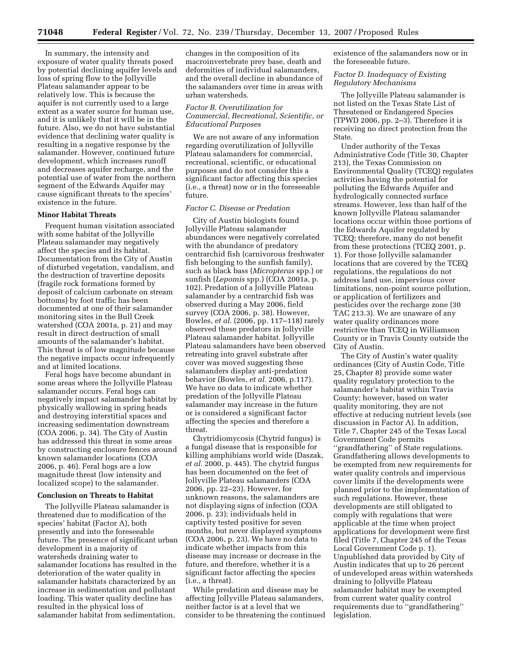In summary, the intensity and exposure of water quality threats posed by potential declining aquifer levels and loss of spring flow to the Jollyville Plateau salamander appear to be relatively low. This is because the aquifer is not currently used to a large extent as a water source for human use, and it is unlikely that it will be in the future. Also, we do not have substantial evidence that declining water quality is resulting in a negative response by the salamander. However, continued future development, which increases runoff and decreases aquifer recharge, and the potential use of water from the northern segment of the Edwards Aquifer may cause significant threats to the species' existence in the future.

#### **Minor Habitat Threats**

Frequent human visitation associated with some habitat of the Jollyville Plateau salamander may negatively affect the species and its habitat. Documentation from the City of Austin of disturbed vegetation, vandalism, and the destruction of travertine deposits (fragile rock formations formed by deposit of calcium carbonate on stream bottoms) by foot traffic has been documented at one of their salamander monitoring sites in the Bull Creek watershed (COA 2001a, p. 21) and may result in direct destruction of small amounts of the salamander's habitat. This threat is of low magnitude because the negative impacts occur infrequently and at limited locations.

Feral hogs have become abundant in some areas where the Jollyville Plateau salamander occurs. Feral hogs can negatively impact salamander habitat by physically wallowing in spring heads and destroying interstitial spaces and increasing sedimentation downstream (COA 2006, p. 34). The City of Austin has addressed this threat in some areas by constructing enclosure fences around known salamander locations (COA 2006, p. 46). Feral hogs are a low magnitude threat (low intensity and localized scope) to the salamander.

#### **Conclusion on Threats to Habitat**

The Jollyville Plateau salamander is threatened due to modification of the species' habitat (Factor A), both presently and into the foreseeable future. The presence of significant urban development in a majority of watersheds draining water to salamander locations has resulted in the deterioration of the water quality in salamander habitats characterized by an increase in sedimentation and pollutant loading. This water quality decline has resulted in the physical loss of salamander habitat from sedimentation,

changes in the composition of its macroinvertebrate prey base, death and deformities of individual salamanders, and the overall decline in abundance of the salamanders over time in areas with urban watersheds.

# *Factor B. Overutilization for Commercial, Recreational, Scientific, or Educational Purposes*

We are not aware of any information regarding overutilization of Jollyville Plateau salamanders for commercial, recreational, scientific, or educational purposes and do not consider this a significant factor affecting this species (i.e., a threat) now or in the foreseeable future.

### *Factor C. Disease or Predation*

City of Austin biologists found Jollyville Plateau salamander abundances were negatively correlated with the abundance of predatory centrarchid fish (carnivorous freshwater fish belonging to the sunfish family), such as black bass (*Micropterus* spp.) or sunfish (*Lepomis* spp.) (COA 2001a, p. 102). Predation of a Jollyville Plateau salamander by a centrarchid fish was observed during a May 2006, field survey (COA 2006, p. 38). However, Bowles, *et al.* (2006, pp. 117–118) rarely observed these predators in Jollyville Plateau salamander habitat. Jollyville Plateau salamanders have been observed retreating into gravel substrate after cover was moved suggesting these salamanders display anti-predation behavior (Bowles, *et al.* 2006, p.117). We have no data to indicate whether predation of the Jollyville Plateau salamander may increase in the future or is considered a significant factor affecting the species and therefore a threat.

Chytridiomycosis (Chytrid fungus) is a fungal disease that is responsible for killing amphibians world wide (Daszak, *et al.* 2000, p. 445). The chytrid fungus has been documented on the feet of Jollyville Plateau salamanders (COA 2006, pp. 22–23). However, for unknown reasons, the salamanders are not displaying signs of infection (COA 2006, p. 23); individuals held in captivity tested positive for seven months, but never displayed symptoms (COA 2006, p. 23). We have no data to indicate whether impacts from this disease may increase or decrease in the future, and therefore, whether it is a significant factor affecting the species (i.e., a threat).

While predation and disease may be affecting Jollyville Plateau salamanders, neither factor is at a level that we consider to be threatening the continued existence of the salamanders now or in the foreseeable future.

### *Factor D. Inadequacy of Existing Regulatory Mechanisms*

The Jollyville Plateau salamander is not listed on the Texas State List of Threatened or Endangered Species (TPWD 2006, pp. 2–3). Therefore it is receiving no direct protection from the State.

Under authority of the Texas Administrative Code (Title 30, Chapter 213), the Texas Commission on Environmental Quality (TCEQ) regulates activities having the potential for polluting the Edwards Aquifer and hydrologically connected surface streams. However, less than half of the known Jollyville Plateau salamander locations occur within those portions of the Edwards Aquifer regulated by TCEQ; therefore, many do not benefit from these protections (TCEQ 2001, p. 1). For those Jollyville salamander locations that are covered by the TCEQ regulations, the regulations do not address land use, impervious cover limitations, non-point source pollution, or application of fertilizers and pesticides over the recharge zone (30 TAC 213.3). We are unaware of any water quality ordinances more restrictive than TCEQ in Williamson County or in Travis County outside the City of Austin.

The City of Austin's water quality ordinances (City of Austin Code, Title 25, Chapter 8) provide some water quality regulatory protection to the salamander's habitat within Travis County; however, based on water quality monitoring, they are not effective at reducing nutrient levels (see discussion in Factor A). In addition, Title 7, Chapter 245 of the Texas Local Government Code permits ''grandfathering'' of State regulations. Grandfathering allows developments to be exempted from new requirements for water quality controls and impervious cover limits if the developments were planned prior to the implementation of such regulations. However, these developments are still obligated to comply with regulations that were applicable at the time when project applications for development were first filed (Title 7, Chapter 245 of the Texas Local Government Code p. 1). Unpublished data provided by City of Austin indicates that up to 26 percent of undeveloped areas within watersheds draining to Jollyville Plateau salamander habitat may be exempted from current water quality control requirements due to ''grandfathering'' legislation.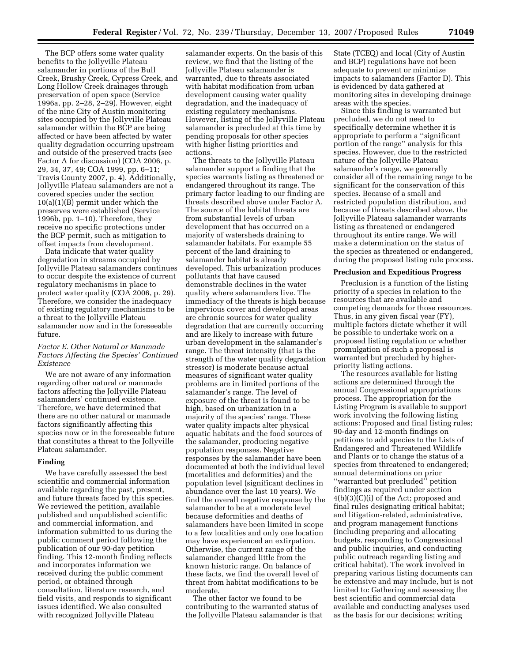The BCP offers some water quality benefits to the Jollyville Plateau salamander in portions of the Bull Creek, Brushy Creek, Cypress Creek, and Long Hollow Creek drainages through preservation of open space (Service 1996a, pp. 2–28, 2–29). However, eight of the nine City of Austin monitoring sites occupied by the Jollyville Plateau salamander within the BCP are being affected or have been affected by water quality degradation occurring upstream and outside of the preserved tracts (see Factor A for discussion) (COA 2006, p. 29, 34, 37, 49; COA 1999, pp. 6–11; Travis County 2007, p. 4). Additionally, Jollyville Plateau salamanders are not a covered species under the section 10(a)(1)(B) permit under which the preserves were established (Service 1996b, pp. 1–10). Therefore, they receive no specific protections under the BCP permit, such as mitigation to offset impacts from development.

Data indicate that water quality degradation in streams occupied by Jollyville Plateau salamanders continues to occur despite the existence of current regulatory mechanisms in place to protect water quality (COA 2006, p. 29). Therefore, we consider the inadequacy of existing regulatory mechanisms to be a threat to the Jollyville Plateau salamander now and in the foreseeable future.

# *Factor E. Other Natural or Manmade Factors Affecting the Species' Continued Existence*

We are not aware of any information regarding other natural or manmade factors affecting the Jollyville Plateau salamanders' continued existence. Therefore, we have determined that there are no other natural or manmade factors significantly affecting this species now or in the foreseeable future that constitutes a threat to the Jollyville Plateau salamander.

#### **Finding**

We have carefully assessed the best scientific and commercial information available regarding the past, present, and future threats faced by this species. We reviewed the petition, available published and unpublished scientific and commercial information, and information submitted to us during the public comment period following the publication of our 90-day petition finding. This 12-month finding reflects and incorporates information we received during the public comment period, or obtained through consultation, literature research, and field visits, and responds to significant issues identified. We also consulted with recognized Jollyville Plateau

salamander experts. On the basis of this review, we find that the listing of the Jollyville Plateau salamander is warranted, due to threats associated with habitat modification from urban development causing water quality degradation, and the inadequacy of existing regulatory mechanisms. However, listing of the Jollyville Plateau salamander is precluded at this time by pending proposals for other species with higher listing priorities and actions.

The threats to the Jollyville Plateau salamander support a finding that the species warrants listing as threatened or endangered throughout its range. The primary factor leading to our finding are threats described above under Factor A. The source of the habitat threats are from substantial levels of urban development that has occurred on a majority of watersheds draining to salamander habitats. For example 55 percent of the land draining to salamander habitat is already developed. This urbanization produces pollutants that have caused demonstrable declines in the water quality where salamanders live. The immediacy of the threats is high because impervious cover and developed areas are chronic sources for water quality degradation that are currently occurring and are likely to increase with future urban development in the salamander's range. The threat intensity (that is the strength of the water quality degradation stressor) is moderate because actual measures of significant water quality problems are in limited portions of the salamander's range. The level of exposure of the threat is found to be high, based on urbanization in a majority of the species' range. These water quality impacts alter physical aquatic habitats and the food sources of the salamander, producing negative population responses. Negative responses by the salamander have been documented at both the individual level (mortalities and deformities) and the population level (significant declines in abundance over the last 10 years). We find the overall negative response by the salamander to be at a moderate level because deformities and deaths of salamanders have been limited in scope to a few localities and only one location may have experienced an extirpation. Otherwise, the current range of the salamander changed little from the known historic range. On balance of these facts, we find the overall level of threat from habitat modifications to be moderate.

The other factor we found to be contributing to the warranted status of the Jollyville Plateau salamander is that State (TCEQ) and local (City of Austin and BCP) regulations have not been adequate to prevent or minimize impacts to salamanders (Factor D). This is evidenced by data gathered at monitoring sites in developing drainage areas with the species.

Since this finding is warranted but precluded, we do not need to specifically determine whether it is appropriate to perform a ''significant portion of the range'' analysis for this species. However, due to the restricted nature of the Jollyville Plateau salamander's range, we generally consider all of the remaining range to be significant for the conservation of this species. Because of a small and restricted population distribution, and because of threats described above, the Jollyville Plateau salamander warrants listing as threatened or endangered throughout its entire range. We will make a determination on the status of the species as threatened or endangered, during the proposed listing rule process.

#### **Preclusion and Expeditious Progress**

Preclusion is a function of the listing priority of a species in relation to the resources that are available and competing demands for those resources. Thus, in any given fiscal year (FY), multiple factors dictate whether it will be possible to undertake work on a proposed listing regulation or whether promulgation of such a proposal is warranted but precluded by higherpriority listing actions.

The resources available for listing actions are determined through the annual Congressional appropriations process. The appropriation for the Listing Program is available to support work involving the following listing actions: Proposed and final listing rules; 90-day and 12-month findings on petitions to add species to the Lists of Endangered and Threatened Wildlife and Plants or to change the status of a species from threatened to endangered; annual determinations on prior ''warranted but precluded'' petition findings as required under section 4(b)(3)(C)(i) of the Act; proposed and final rules designating critical habitat; and litigation-related, administrative, and program management functions (including preparing and allocating budgets, responding to Congressional and public inquiries, and conducting public outreach regarding listing and critical habitat). The work involved in preparing various listing documents can be extensive and may include, but is not limited to: Gathering and assessing the best scientific and commercial data available and conducting analyses used as the basis for our decisions; writing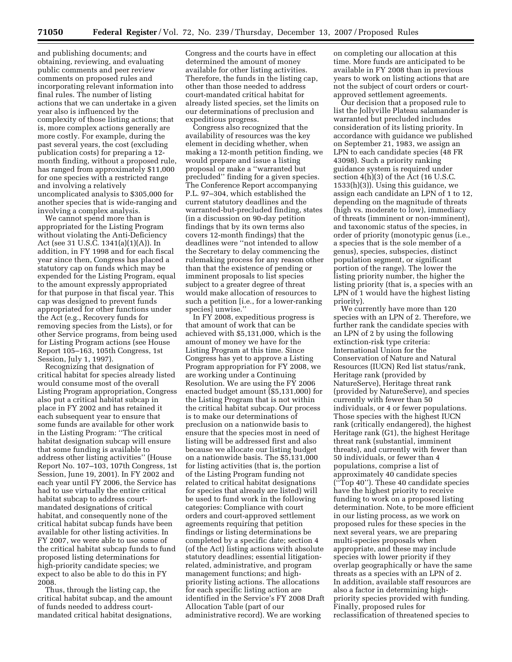and publishing documents; and obtaining, reviewing, and evaluating public comments and peer review comments on proposed rules and incorporating relevant information into final rules. The number of listing actions that we can undertake in a given year also is influenced by the complexity of those listing actions; that is, more complex actions generally are more costly. For example, during the past several years, the cost (excluding publication costs) for preparing a 12 month finding, without a proposed rule, has ranged from approximately \$11,000 for one species with a restricted range and involving a relatively uncomplicated analysis to \$305,000 for another species that is wide-ranging and involving a complex analysis.

We cannot spend more than is appropriated for the Listing Program without violating the Anti-Deficiency Act (see 31 U.S.C. 1341(a)(1)(A)). In addition, in FY 1998 and for each fiscal year since then, Congress has placed a statutory cap on funds which may be expended for the Listing Program, equal to the amount expressly appropriated for that purpose in that fiscal year. This cap was designed to prevent funds appropriated for other functions under the Act (e.g., Recovery funds for removing species from the Lists), or for other Service programs, from being used for Listing Program actions (see House Report 105–163, 105th Congress, 1st Session, July 1, 1997).

Recognizing that designation of critical habitat for species already listed would consume most of the overall Listing Program appropriation, Congress also put a critical habitat subcap in place in FY 2002 and has retained it each subsequent year to ensure that some funds are available for other work in the Listing Program: ''The critical habitat designation subcap will ensure that some funding is available to address other listing activities'' (House Report No. 107–103, 107th Congress, 1st Session, June 19, 2001). In FY 2002 and each year until FY 2006, the Service has had to use virtually the entire critical habitat subcap to address courtmandated designations of critical habitat, and consequently none of the critical habitat subcap funds have been available for other listing activities. In FY 2007, we were able to use some of the critical habitat subcap funds to fund proposed listing determinations for high-priority candidate species; we expect to also be able to do this in FY 2008.

Thus, through the listing cap, the critical habitat subcap, and the amount of funds needed to address courtmandated critical habitat designations,

Congress and the courts have in effect determined the amount of money available for other listing activities. Therefore, the funds in the listing cap, other than those needed to address court-mandated critical habitat for already listed species, set the limits on our determinations of preclusion and expeditious progress.

Congress also recognized that the availability of resources was the key element in deciding whether, when making a 12-month petition finding, we would prepare and issue a listing proposal or make a ''warranted but precluded'' finding for a given species. The Conference Report accompanying P.L. 97–304, which established the current statutory deadlines and the warranted-but-precluded finding, states (in a discussion on 90-day petition findings that by its own terms also covers 12-month findings) that the deadlines were ''not intended to allow the Secretary to delay commencing the rulemaking process for any reason other than that the existence of pending or imminent proposals to list species subject to a greater degree of threat would make allocation of resources to such a petition [i.e., for a lower-ranking species] unwise.''

In FY 2008, expeditious progress is that amount of work that can be achieved with \$5,131,000, which is the amount of money we have for the Listing Program at this time. Since Congress has yet to approve a Listing Program appropriation for FY 2008, we are working under a Continuing Resolution. We are using the FY 2006 enacted budget amount (\$5,131,000) for the Listing Program that is not within the critical habitat subcap. Our process is to make our determinations of preclusion on a nationwide basis to ensure that the species most in need of listing will be addressed first and also because we allocate our listing budget on a nationwide basis. The \$5,131,000 for listing activities (that is, the portion of the Listing Program funding not related to critical habitat designations for species that already are listed) will be used to fund work in the following categories: Compliance with court orders and court-approved settlement agreements requiring that petition findings or listing determinations be completed by a specific date; section 4 (of the Act) listing actions with absolute statutory deadlines; essential litigationrelated, administrative, and program management functions; and highpriority listing actions. The allocations for each specific listing action are identified in the Service's FY 2008 Draft Allocation Table (part of our administrative record). We are working

on completing our allocation at this time. More funds are anticipated to be available in FY 2008 than in previous years to work on listing actions that are not the subject of court orders or courtapproved settlement agreements.

Our decision that a proposed rule to list the Jollyville Plateau salamander is warranted but precluded includes consideration of its listing priority. In accordance with guidance we published on September 21, 1983, we assign an LPN to each candidate species (48 FR 43098). Such a priority ranking guidance system is required under section 4(h)(3) of the Act (16 U.S.C. 1533(h)(3)). Using this guidance, we assign each candidate an LPN of 1 to 12, depending on the magnitude of threats (high vs. moderate to low), immediacy of threats (imminent or non-imminent), and taxonomic status of the species, in order of priority (monotypic genus (i.e., a species that is the sole member of a genus), species, subspecies, distinct population segment, or significant portion of the range). The lower the listing priority number, the higher the listing priority (that is, a species with an LPN of 1 would have the highest listing priority).

We currently have more than 120 species with an LPN of 2. Therefore, we further rank the candidate species with an LPN of 2 by using the following extinction-risk type criteria: International Union for the Conservation of Nature and Natural Resources (IUCN) Red list status/rank, Heritage rank (provided by NatureServe), Heritage threat rank (provided by NatureServe), and species currently with fewer than 50 individuals, or 4 or fewer populations. Those species with the highest IUCN rank (critically endangered), the highest Heritage rank (G1), the highest Heritage threat rank (substantial, imminent threats), and currently with fewer than 50 individuals, or fewer than 4 populations, comprise a list of approximately 40 candidate species (''Top 40''). These 40 candidate species have the highest priority to receive funding to work on a proposed listing determination. Note, to be more efficient in our listing process, as we work on proposed rules for these species in the next several years, we are preparing multi-species proposals when appropriate, and these may include species with lower priority if they overlap geographically or have the same threats as a species with an LPN of 2. In addition, available staff resources are also a factor in determining highpriority species provided with funding. Finally, proposed rules for reclassification of threatened species to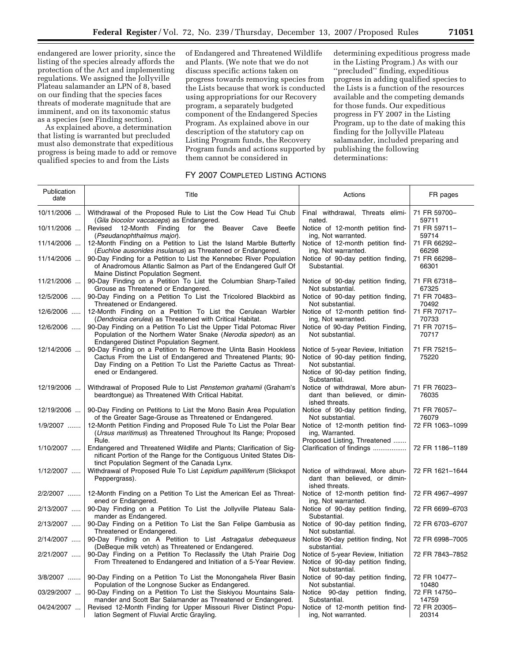endangered are lower priority, since the listing of the species already affords the protection of the Act and implementing regulations. We assigned the Jollyville Plateau salamander an LPN of 8, based on our finding that the species faces threats of moderate magnitude that are imminent, and on its taxonomic status as a species (see Finding section).

As explained above, a determination that listing is warranted but precluded must also demonstrate that expeditious progress is being made to add or remove qualified species to and from the Lists

of Endangered and Threatened Wildlife and Plants. (We note that we do not discuss specific actions taken on progress towards removing species from the Lists because that work is conducted using appropriations for our Recovery program, a separately budgeted component of the Endangered Species Program. As explained above in our description of the statutory cap on Listing Program funds, the Recovery Program funds and actions supported by them cannot be considered in

determining expeditious progress made in the Listing Program.) As with our ''precluded'' finding, expeditious progress in adding qualified species to the Lists is a function of the resources available and the competing demands for those funds. Our expeditious progress in FY 2007 in the Listing Program, up to the date of making this finding for the Jollyville Plateau salamander, included preparing and publishing the following determinations:

# FY 2007 COMPLETED LISTING ACTIONS

| Publication<br>date | Title                                                                                                                                                                                                | Actions                                                                                       | FR pages              |
|---------------------|------------------------------------------------------------------------------------------------------------------------------------------------------------------------------------------------------|-----------------------------------------------------------------------------------------------|-----------------------|
| 10/11/2006          | Withdrawal of the Proposed Rule to List the Cow Head Tui Chub<br>(Gila biocolor vaccaceps) as Endangered.                                                                                            | Final withdrawal, Threats elimi-<br>nated.                                                    | 71 FR 59700-<br>59711 |
| 10/11/2006          | Revised 12-Month Finding for the Beaver Cave Beetle<br>(Pseudanophthalmus major).                                                                                                                    | Notice of 12-month petition find-<br>ing, Not warranted.                                      | 71 FR 59711-<br>59714 |
| 11/14/2006          | 12-Month Finding on a Petition to List the Island Marble Butterfly<br>(Euchloe ausonides insulanus) as Threatened or Endangered.                                                                     | Notice of 12-month petition find-<br>ing, Not warranted.                                      | 71 FR 66292-<br>66298 |
| 11/14/2006          | 90-Day Finding for a Petition to List the Kennebec River Population<br>of Anadromous Atlantic Salmon as Part of the Endangered Gulf Of<br>Maine Distinct Population Segment.                         | Notice of 90-day petition finding,<br>Substantial.                                            | 71 FR 66298-<br>66301 |
| 11/21/2006          | 90-Day Finding on a Petition To List the Columbian Sharp-Tailed<br>Grouse as Threatened or Endangered.                                                                                               | Notice of 90-day petition finding,<br>Not substantial.                                        | 71 FR 67318-<br>67325 |
| 12/5/2006           | 90-Day Finding on a Petition To List the Tricolored Blackbird as<br>Threatened or Endangered.                                                                                                        | Notice of 90-day petition finding,<br>Not substantial.                                        | 71 FR 70483-<br>70492 |
| 12/6/2006           | 12-Month Finding on a Petition To List the Cerulean Warbler<br>(Dendroica cerulea) as Threatened with Critical Habitat.                                                                              | Notice of 12-month petition find-<br>ing, Not warranted.                                      | 71 FR 70717-<br>70733 |
| 12/6/2006           | 90-Day Finding on a Petition To List the Upper Tidal Potomac River<br>Population of the Northern Water Snake (Nerodia sipedon) as an<br>Endangered Distinct Population Segment.                      | Notice of 90-day Petition Finding,<br>Not substantial.                                        | 71 FR 70715-<br>70717 |
| 12/14/2006          | 90-Day Finding on a Petition to Remove the Uinta Basin Hookless<br>Cactus From the List of Endangered and Threatened Plants; 90-<br>Day Finding on a Petition To List the Pariette Cactus as Threat- | Notice of 5-year Review, Initiation<br>Notice of 90-day petition finding,<br>Not substantial. | 71 FR 75215-<br>75220 |
|                     | ened or Endangered.                                                                                                                                                                                  | Notice of 90-day petition finding,<br>Substantial.                                            |                       |
| 12/19/2006          | Withdrawal of Proposed Rule to List Penstemon grahamii (Graham's<br>beardtongue) as Threatened With Critical Habitat.                                                                                | Notice of withdrawal, More abun-<br>dant than believed, or dimin-<br>ished threats.           | 71 FR 76023-<br>76035 |
| 12/19/2006          | 90-Day Finding on Petitions to List the Mono Basin Area Population<br>of the Greater Sage-Grouse as Threatened or Endangered.                                                                        | Notice of 90-day petition finding,<br>Not substantial.                                        | 71 FR 76057-<br>76079 |
| 1/9/2007            | 12-Month Petition Finding and Proposed Rule To List the Polar Bear<br>(Ursus maritimus) as Threatened Throughout Its Range; Proposed<br>Rule.                                                        | Notice of 12-month petition find-<br>ing, Warranted.<br>Proposed Listing, Threatened          | 72 FR 1063-1099       |
| 1/10/2007           | Endangered and Threatened Wildlife and Plants; Clarification of Sig-<br>nificant Portion of the Range for the Contiguous United States Dis-<br>tinct Population Segment of the Canada Lynx.          | Clarification of findings                                                                     | 72 FR 1186-1189       |
| 1/12/2007           | Withdrawal of Proposed Rule To List Lepidium papilliferum (Slickspot<br>Peppergrass).                                                                                                                | Notice of withdrawal, More abun-<br>dant than believed, or dimin-<br>ished threats.           | 72 FR 1621-1644       |
| 2/2/2007            | 12-Month Finding on a Petition To List the American Eel as Threat-<br>ened or Endangered.                                                                                                            | Notice of 12-month petition find-<br>ing, Not warranted.                                      | 72 FR 4967-4997       |
| 2/13/2007           | 90-Day Finding on a Petition To List the Jollyville Plateau Sala-<br>mander as Endangered.                                                                                                           | Notice of 90-day petition finding,<br>Substantial.                                            | 72 FR 6699-6703       |
| 2/13/2007           | 90-Day Finding on a Petition To List the San Felipe Gambusia as<br>Threatened or Endangered.                                                                                                         | Notice of 90-day petition finding,<br>Not substantial.                                        | 72 FR 6703-6707       |
| 2/14/2007           | 90-Day Finding on A Petition to List Astragalus debequaeus<br>(DeBeque milk vetch) as Threatened or Endangered.                                                                                      | Notice 90-day petition finding, Not<br>substantial.                                           | 72 FR 6998-7005       |
| 2/21/2007           | 90-Day Finding on a Petition To Reclassify the Utah Prairie Dog<br>From Threatened to Endangered and Initiation of a 5-Year Review.                                                                  | Notice of 5-year Review, Initiation<br>Notice of 90-day petition finding,<br>Not substantial. | 72 FR 7843-7852       |
| 3/8/2007            | 90-Day Finding on a Petition To List the Monongahela River Basin<br>Population of the Longnose Sucker as Endangered.                                                                                 | Notice of 90-day petition finding,<br>Not substantial.                                        | 72 FR 10477-<br>10480 |
| 03/29/2007          | 90-Day Finding on a Petition To List the Siskiyou Mountains Sala-<br>mander and Scott Bar Salamander as Threatened or Endangered.                                                                    | Notice 90-day petition finding,<br>Substantial.                                               | 72 FR 14750-<br>14759 |
| 04/24/2007          | Revised 12-Month Finding for Upper Missouri River Distinct Popu-<br>lation Segment of Fluvial Arctic Grayling.                                                                                       | Notice of 12-month petition find-<br>ing, Not warranted.                                      | 72 FR 20305-<br>20314 |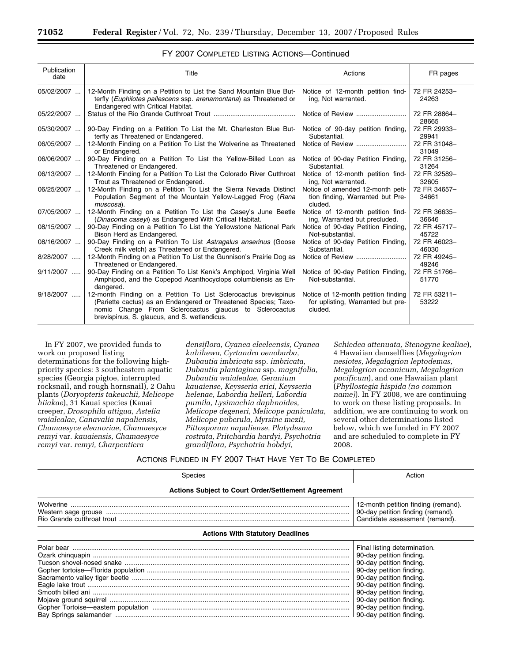| Publication<br>date | Title                                                                                                                                                                                                                                        | Actions                                                                             | FR pages              |
|---------------------|----------------------------------------------------------------------------------------------------------------------------------------------------------------------------------------------------------------------------------------------|-------------------------------------------------------------------------------------|-----------------------|
| 05/02/2007          | 12-Month Finding on a Petition to List the Sand Mountain Blue But-<br>terfly (Euphilotes pallescens ssp. arenamontana) as Threatened or<br>Endangered with Critical Habitat.                                                                 | Notice of 12-month petition find-<br>ing, Not warranted.                            | 72 FR 24253-<br>24263 |
| 05/22/2007          |                                                                                                                                                                                                                                              | Notice of Review                                                                    | 72 FR 28864-<br>28665 |
| 05/30/2007          | 90-Day Finding on a Petition To List the Mt. Charleston Blue But-<br>terfly as Threatened or Endangered.                                                                                                                                     | Notice of 90-day petition finding,<br>Substantial.                                  | 72 FR 29933-<br>29941 |
| 06/05/2007          | 12-Month Finding on a Petition To List the Wolverine as Threatened<br>or Endangered.                                                                                                                                                         |                                                                                     | 72 FR 31048-<br>31049 |
| 06/06/2007          | 90-Day Finding on a Petition To List the Yellow-Billed Loon as<br>Threatened or Endangered.                                                                                                                                                  | Notice of 90-day Petition Finding,<br>Substantial.                                  | 72 FR 31256-<br>31264 |
| 06/13/2007          | 12-Month Finding for a Petition To List the Colorado River Cutthroat<br>Trout as Threatened or Endangered.                                                                                                                                   | Notice of 12-month petition find-<br>ing, Not warranted.                            | 72 FR 32589-<br>32605 |
| 06/25/2007          | 12-Month Finding on a Petition To List the Sierra Nevada Distinct<br>Population Segment of the Mountain Yellow-Legged Frog (Rana<br>muscosa).                                                                                                | Notice of amended 12-month peti-<br>tion finding, Warranted but Pre-<br>cluded.     | 72 FR 34657-<br>34661 |
| 07/05/2007          | 12-Month Finding on a Petition To List the Casey's June Beetle<br>(Dinacoma caseyi) as Endangered With Critical Habitat.                                                                                                                     | Notice of 12-month petition find-<br>ing, Warranted but precluded.                  | 72 FR 36635-<br>36646 |
| 08/15/2007          | 90-Day Finding on a Petition To List the Yellowstone National Park<br>Bison Herd as Endangered.                                                                                                                                              | Notice of 90-day Petition Finding,<br>Not-substantial.                              | 72 FR 45717-<br>45722 |
| 08/16/2007          | 90-Day Finding on a Petition To List Astragalus anserinus (Goose<br>Creek milk vetch) as Threatened or Endangered.                                                                                                                           | Notice of 90-day Petition Finding.<br>Substantial.                                  | 72 FR 46023-<br>46030 |
| 8/28/2007           | 12-Month Finding on a Petition To List the Gunnison's Prairie Dog as<br>Threatened or Endangered.                                                                                                                                            |                                                                                     | 72 FR 49245-<br>49246 |
| $9/11/2007$         | 90-Day Finding on a Petition To List Kenk's Amphipod, Virginia Well<br>Amphipod, and the Copepod Acanthocyclops columbiensis as En-<br>dangered.                                                                                             | Notice of 90-day Petition Finding,<br>Not-substantial.                              | 72 FR 51766-<br>51770 |
| 9/18/2007           | 12-month Finding on a Petition To List Sclerocactus brevispinus<br>(Pariette cactus) as an Endangered or Threatened Species; Taxo-<br>nomic Change From Sclerocactus glaucus to Sclerocactus<br>brevispinus, S. glaucus, and S. wetlandicus. | Notice of 12-month petition finding<br>for uplisting, Warranted but pre-<br>cluded. | 72 FR 53211-<br>53222 |

# FY 2007 COMPLETED LISTING ACTIONS—Continued

In FY 2007, we provided funds to work on proposed listing determinations for the following highpriority species: 3 southeastern aquatic species (Georgia pigtoe, interrupted rocksnail, and rough hornsnail), 2 Oahu plants (*Doryopteris takeuchii, Melicope hiiakae*), 31 Kauai species (Kauai creeper, *Drosophila attigua, Astelia waialealae, Canavalia napaliensis, Chamaesyce eleanoriae, Chamaesyce remyi* var. *kauaiensis, Chamaesyce remyi* var. *remyi, Charpentiera* 

*densiflora, Cyanea eleeleensis, Cyanea kuhihewa, Cyrtandra oenobarba, Dubautia imbricata* ssp. *imbricata, Dubautia plantaginea* ssp. *magnifolia, Dubautia waialealae, Geranium kauaiense, Keysseria erici, Keysseria helenae, Labordia helleri, Labordia pumila, Lysimachia daphnoides, Melicope degeneri, Melicope paniculata, Melicope puberula, Myrsine mezii, Pittosporum napaliense, Platydesma rostrata, Pritchardia hardyi, Psychotria grandiflora, Psychotria hobdyi,* 

*Schiedea attenuata, Stenogyne kealiae*), 4 Hawaiian damselflies (*Megalagrion nesiotes, Megalagrion leptodemas, Megalagrion oceanicum, Megalagrion pacificum*), and one Hawaiian plant (*Phyllostegia hispida (no common name)*). In FY 2008, we are continuing to work on these listing proposals. In addition, we are continuing to work on several other determinations listed below, which we funded in FY 2007 and are scheduled to complete in FY 2008.

# ACTIONS FUNDED IN FY 2007 THAT HAVE YET TO BE COMPLETED

| Species                                             | Action                                                                                                                                                                                                                                                       |  |  |
|-----------------------------------------------------|--------------------------------------------------------------------------------------------------------------------------------------------------------------------------------------------------------------------------------------------------------------|--|--|
| Actions Subject to Court Order/Settlement Agreement |                                                                                                                                                                                                                                                              |  |  |
|                                                     | 12-month petition finding (remand).<br>90-day petition finding (remand).<br>Candidate assessment (remand).                                                                                                                                                   |  |  |
| <b>Actions With Statutory Deadlines</b>             |                                                                                                                                                                                                                                                              |  |  |
|                                                     | Final listing determination.<br>90-day petition finding.<br>90-day petition finding.<br>90-day petition finding.<br>90-day petition finding.<br>90-day petition finding.<br>90-day petition finding.<br>90-day petition finding.<br>90-day petition finding. |  |  |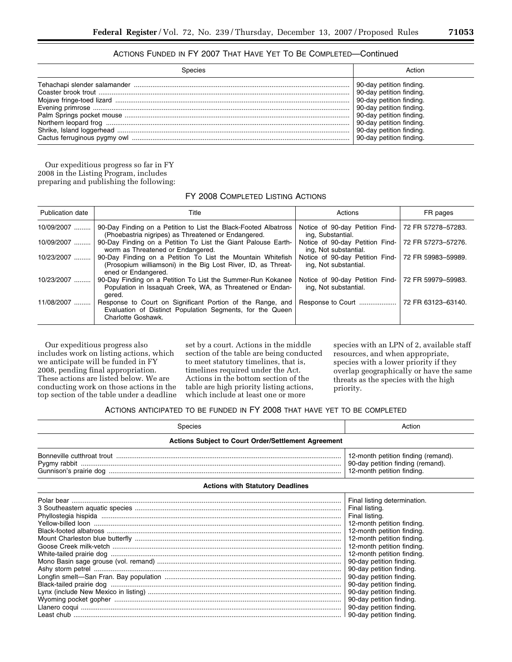# ACTIONS FUNDED IN FY 2007 THAT HAVE YET TO BE COMPLETED—Continued

| Snecies | Action                   |
|---------|--------------------------|
|         | 90-day petition finding. |
|         | 90-day petition finding. |
|         | 90-day petition finding. |
|         | 90-day petition finding. |
|         | 90-day petition finding. |
|         | 90-day petition finding. |
|         | 90-day petition finding. |
|         | 90-day petition finding. |

Our expeditious progress so far in FY 2008 in the Listing Program, includes preparing and publishing the following:

FY 2008 COMPLETED LISTING ACTIONS

| <b>Publication date</b> | Title                                                                                                                                               | Actions                                                  | FR pages           |
|-------------------------|-----------------------------------------------------------------------------------------------------------------------------------------------------|----------------------------------------------------------|--------------------|
| 10/09/2007              | 90-Day Finding on a Petition to List the Black-Footed Albatross<br>(Phoebastria nigripes) as Threatened or Endangered.                              | Notice of 90-day Petition Find-<br>ing, Substantial.     | 72 FR 57278-57283. |
| 10/09/2007              | 90-Day Finding on a Petition To List the Giant Palouse Earth-<br>worm as Threatened or Endangered.                                                  | Notice of 90-day Petition Find-<br>ing, Not substantial. | 72 FR 57273-57276. |
| 10/23/2007              | 90-Day Finding on a Petition To List the Mountain Whitefish<br>(Prosopium williamsoni) in the Big Lost River, ID, as Threat-<br>ened or Endangered. | Notice of 90-day Petition Find-<br>ing, Not substantial. | 72 FR 59983-59989. |
| 10/23/2007              | 90-Day Finding on a Petition To List the Summer-Run Kokanee<br>Population in Issaguah Creek, WA, as Threatened or Endan-<br>gered.                  | Notice of 90-day Petition Find-<br>ing, Not substantial. | 72 FR 59979-59983. |
| 11/08/2007              | Response to Court on Significant Portion of the Range, and<br>Evaluation of Distinct Population Segments, for the Queen<br>Charlotte Goshawk.       | Response to Court                                        | 72 FR 63123-63140. |

Our expeditious progress also includes work on listing actions, which we anticipate will be funded in FY 2008, pending final appropriation. These actions are listed below. We are conducting work on those actions in the top section of the table under a deadline

set by a court. Actions in the middle section of the table are being conducted to meet statutory timelines, that is, timelines required under the Act. Actions in the bottom section of the table are high priority listing actions, which include at least one or more

species with an LPN of 2, available staff resources, and when appropriate, species with a lower priority if they overlap geographically or have the same threats as the species with the high priority.

# ACTIONS ANTICIPATED TO BE FUNDED IN FY 2008 THAT HAVE YET TO BE COMPLETED

| Species                                                    | Action                                                                                                                                                                                                                                                                                                                                 |  |  |
|------------------------------------------------------------|----------------------------------------------------------------------------------------------------------------------------------------------------------------------------------------------------------------------------------------------------------------------------------------------------------------------------------------|--|--|
| <b>Actions Subject to Court Order/Settlement Agreement</b> |                                                                                                                                                                                                                                                                                                                                        |  |  |
|                                                            | 12-month petition finding (remand).<br>90-day petition finding (remand).<br>12-month petition finding.                                                                                                                                                                                                                                 |  |  |
| <b>Actions with Statutory Deadlines</b>                    |                                                                                                                                                                                                                                                                                                                                        |  |  |
|                                                            | Final listing determination.<br>Final listing.<br>Final listing.<br>12-month petition finding.<br>12-month petition finding.<br>12-month petition finding.<br>12-month petition finding.<br>12-month petition finding.<br>90-day petition finding.<br>90-day petition finding.<br>90-day petition finding.<br>90-day petition finding. |  |  |
|                                                            | 90-day petition finding.<br>90-day petition finding.<br>90-day petition finding.                                                                                                                                                                                                                                                       |  |  |
|                                                            |                                                                                                                                                                                                                                                                                                                                        |  |  |